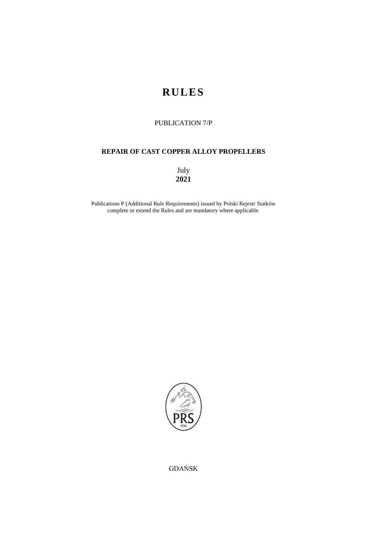# **RULES**

# PUBLICATION 7/P

# **REPAIR OF CAST COPPER ALLOY PROPELLERS**

July **2021**

Publications P (Additional Rule Requirements) issued by Polski Rejestr Statków complete or extend the Rules and are mandatory where applicable.



GDAŃSK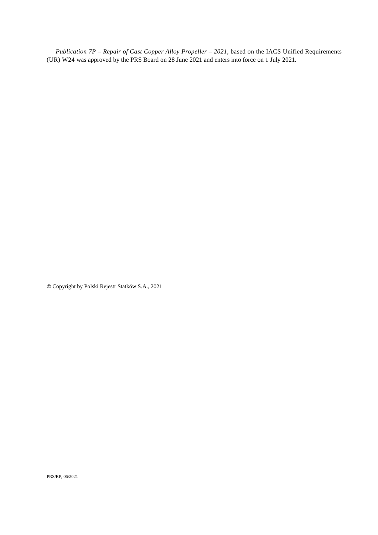*Publication 7P* – *Repair of Cast Copper Alloy Propeller – 2021*, based on the IACS Unified Requirements (UR) W24 was approved by the PRS Board on 28 June 2021 and enters into force on 1 July 2021.

**©** Copyright by Polski Rejestr Statków S.A., 2021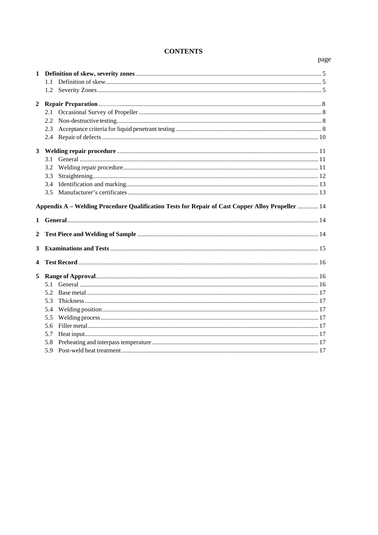## **CONTENTS**

#### $1.1$  $2.3$  $31$  $3.2$  $3.3$ Appendix A – Welding Procedure Qualification Tests for Repair of Cast Copper Alloy Propeller ............. 14  $\mathbf{2}$  $\mathbf{3}$  $\overline{\mathbf{4}}$  $52$ 5.4  $5.5$ 5.8

#### page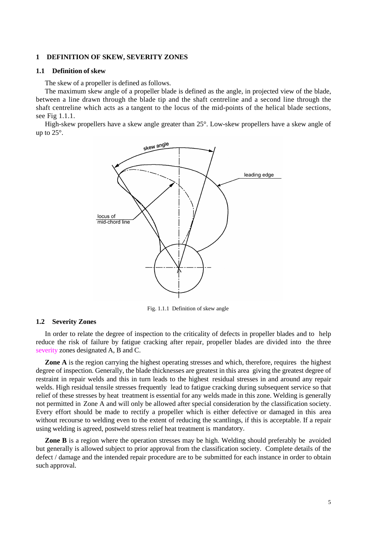#### <span id="page-4-0"></span>**1 DEFINITION OF SKEW, SEVERITY ZONES**

#### <span id="page-4-1"></span>**1.1 Definition of skew**

The skew of a propeller is defined as follows.

The maximum skew angle of a propeller blade is defined as the angle, in projected view of the blade, between a line drawn through the blade tip and the shaft centreline and a second line through the shaft centreline which acts as a tangent to the locus of the mid-points of the helical blade sections, see Fig 1.1.1.

High-skew propellers have a skew angle greater than 25°. Low-skew propellers have a skew angle of up to 25°.



Fig. 1.1.1 Definition of skew angle

#### <span id="page-4-2"></span>**1.2 Severity Zones**

In order to relate the degree of inspection to the criticality of defects in propeller blades and to help reduce the risk of failure by fatigue cracking after repair, propeller blades are divided into the three severity zones designated A, B and C.

**Zone A** is the region carrying the highest operating stresses and which, therefore, requires the highest degree of inspection. Generally, the blade thicknesses are greatest in this area giving the greatest degree of restraint in repair welds and this in turn leads to the highest residual stresses in and around any repair welds. High residual tensile stresses frequently lead to fatigue cracking during subsequent service so that relief of these stresses by heat treatment is essential for any welds made in this zone. Welding is generally not permitted in Zone A and will only be allowed after special consideration by the classification society. Every effort should be made to rectify a propeller which is either defective or damaged in this area without recourse to welding even to the extent of reducing the scantlings, if this is acceptable. If a repair using welding is agreed, postweld stress relief heat treatment is mandatory.

**Zone B** is a region where the operation stresses may be high. Welding should preferably be avoided but generally is allowed subject to prior approval from the classification society. Complete details of the defect / damage and the intended repair procedure are to be submitted for each instance in order to obtain such approval.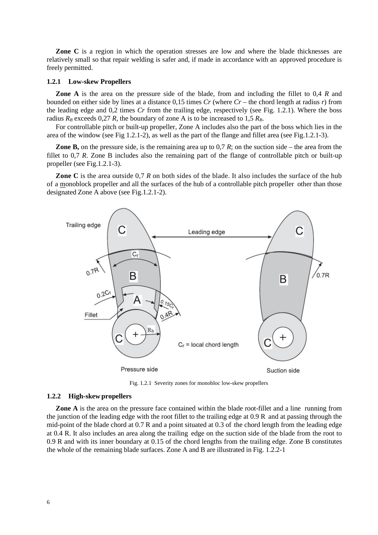**Zone** C is a region in which the operation stresses are low and where the blade thicknesses are relatively small so that repair welding is safer and, if made in accordance with an approved procedure is freely permitted.

#### **1.2.1 Low-skew Propellers**

**Zone A** is the area on the pressure side of the blade, from and including the fillet to 0,4 *R* and bounded on either side by lines at a distance 0,15 times *Cr* (where *Cr* – the chord length at radius *r*) from the leading edge and 0,2 times *Cr* from the trailing edge, respectively (see Fig. 1.2.1). Where the boss radius  $R_B$  exceeds 0,27 *R*, the boundary of zone A is to be increased to 1,5  $R_B$ .

For controllable pitch or built-up propeller, Zone A includes also the part of the boss which lies in the area of the window (see Fig 1.2.1-2), as well as the part of the flange and fillet area (see Fig.1.2.1-3).

**Zone B,** on the pressure side, is the remaining area up to 0,7 *R*; on the suction side – the area from the fillet to 0,7 *R*. Zone B includes also the remaining part of the flange of controllable pitch or built-up propeller (see Fig.1.2.1-3).

**Zone C** is the area outside 0,7 *R* on both sides of the blade. It also includes the surface of the hub of a monoblock propeller and all the surfaces of the hub of a controllable pitch propeller other than those designated Zone A above (see Fig.1.2.1-2).



Fig. 1.2.1 Severity zones for monobloc low-skew propellers

#### **1.2.2 High-skew propellers**

**Zone A** is the area on the pressure face contained within the blade root-fillet and a line running from the junction of the leading edge with the root fillet to the trailing edge at 0.9 R and at passing through the mid-point of the blade chord at 0.7 R and a point situated at 0.3 of the chord length from the leading edge at 0.4 R. It also includes an area along the trailing edge on the suction side of the blade from the root to 0.9 R and with its inner boundary at 0.15 of the chord lengths from the trailing edge. Zone B constitutes the whole of the remaining blade surfaces. Zone A and B are illustrated in Fig. 1.2.2-1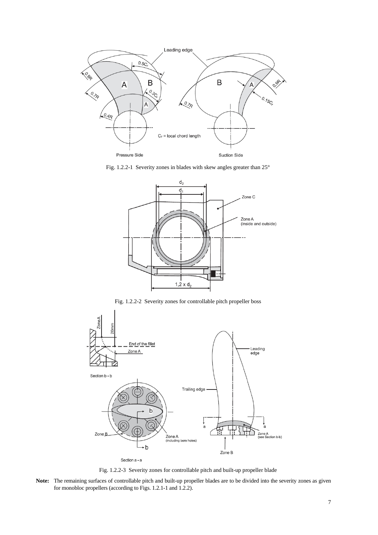

Fig. 1.2.2-1 Severity zones in blades with skew angles greater than 25°



Fig. 1.2.2-2 Severity zones for controllable pitch propeller boss



Fig. 1.2.2-3 Severity zones for controllable pitch and built-up propeller blade

**Note:** The remaining surfaces of controllable pitch and built-up propeller blades are to be divided into the severity zones as given for monobloc propellers (according to Figs. 1.2.1-1 and 1.2.2).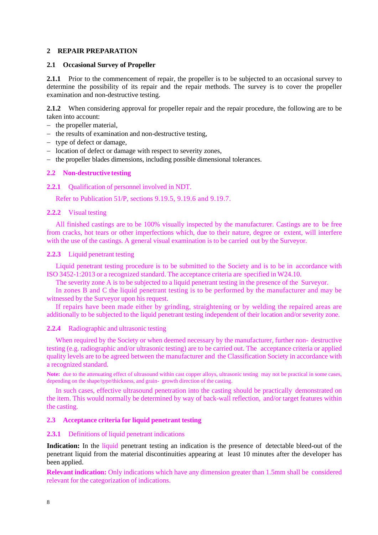## <span id="page-7-0"></span>**2 REPAIR PREPARATION**

#### <span id="page-7-1"></span>**2.1 Occasional Survey of Propeller**

**2.1.1** Prior to the commencement of repair, the propeller is to be subjected to an occasional survey to determine the possibility of its repair and the repair methods. The survey is to cover the propeller examination and non-destructive testing.

**2.1.2** When considering approval for propeller repair and the repair procedure, the following are to be taken into account:

- − the propeller material,
- − the results of examination and non-destructive testing,
- − type of defect or damage,
- − location of defect or damage with respect to severity zones,
- − the propeller blades dimensions, including possible dimensional tolerances.

## <span id="page-7-2"></span>**2.2 Non-destructive testing**

#### **2.2.1** Qualification of personnel involved in NDT.

Refer to Publication 51/P, sections 9.19.5, 9.19.6 and 9.19.7.

## **2.2.2** Visual testing

All finished castings are to be 100% visually inspected by the manufacturer. Castings are to be free from cracks, hot tears or other imperfections which, due to their nature, degree or extent, will interfere with the use of the castings. A general visual examination is to be carried out by the Surveyor.

## **2.2.3** Liquid penetrant testing

Liquid penetrant testing procedure is to be submitted to the Society and is to be in accordance with ISO 3452-1:2013 or a recognized standard. The acceptance criteria are specified in W24.10.

The severity zone A is to be subjected to a liquid penetrant testing in the presence of the Surveyor.

In zones B and C the liquid penetrant testing is to be performed by the manufacturer and may be witnessed by the Surveyor upon his request.

If repairs have been made either by grinding, straightening or by welding the repaired areas are additionally to be subjected to the liquid penetrant testing independent of their location and/or severity zone.

#### **2.2.4** Radiographic and ultrasonic testing

When required by the Society or when deemed necessary by the manufacturer, further non- destructive testing (e.g. radiographic and/or ultrasonic testing) are to be carried out. The acceptance criteria or applied quality levels are to be agreed between the manufacturer and the Classification Society in accordance with a recognized standard.

Note: due to the attenuating effect of ultrasound within cast copper alloys, ultrasonic testing may not be practical in some cases, depending on the shape/type/thickness, and grain- growth direction of the casting.

In such cases, effective ultrasound penetration into the casting should be practically demonstrated on the item. This would normally be determined by way of back-wall reflection, and/or target features within the casting.

#### <span id="page-7-3"></span>**2.3 Acceptance criteria for liquid penetrant testing**

#### 2.3.1 **Definitions of liquid penetrant indications**

**Indication:** In the liquid penetrant testing an indication is the presence of detectable bleed-out of the penetrant liquid from the material discontinuities appearing at least 10 minutes after the developer has been applied.

**Relevant indication:** Only indications which have any dimension greater than 1.5mm shall be considered relevant for the categorization of indications.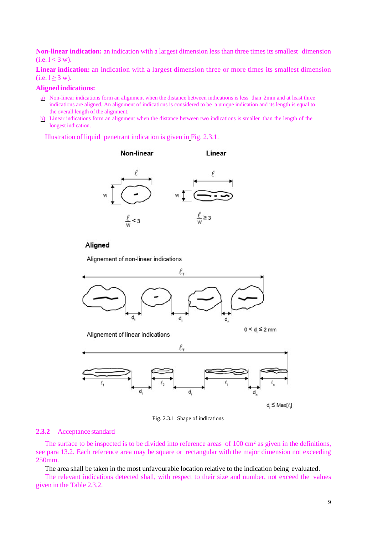**Non-linear indication:** an indication with a largest dimension less than three times its smallest dimension  $(i.e.  $1 < 3$  w).$ 

**Linear indication:** an indication with a largest dimension three or more times its smallest dimension  $(i.e. 1 \ge 3 w).$ 

#### **Aligned indications:**

- a) Non-linear indications form an alignment when the distance between indications is less than 2mm and at least three indications are aligned. An alignment of indications is considered to be a unique indication and its length is equal to the overall length of the alignment.
- b) Linear indications form an alignment when the distance between two indications is smaller than the length of the longest indication.

Illustration of liquid penetrant indication is given in Fig. 2.3.1.



## Aligned

Alignement of non-linear indications



Fig. 2.3.1 Shape of indications

#### **2.3.2** Acceptance standard

The surface to be inspected is to be divided into reference areas of  $100 \text{ cm}^2$  as given in the definitions, see para 13.2. Each reference area may be square or rectangular with the major dimension not exceeding 250mm.

The area shall be taken in the most unfavourable location relative to the indication being evaluated.

The relevant indications detected shall, with respect to their size and number, not exceed the values given in the Table 2.3.2.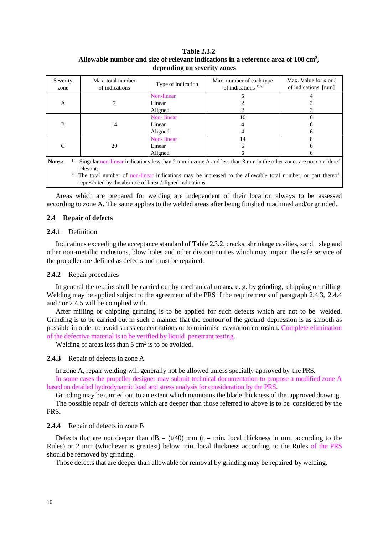## **Table 2.3.2 Allowable number and size of relevant indications in a reference area of 100 cm2 , depending on severity zones**

| Severity<br>zone                                                                                                                                                               | Max. total number<br>of indications | Type of indication | Max. number of each type<br>of indications $^{1/2}$                                                               | Max. Value for $a$ or $l$<br>of indications [mm] |
|--------------------------------------------------------------------------------------------------------------------------------------------------------------------------------|-------------------------------------|--------------------|-------------------------------------------------------------------------------------------------------------------|--------------------------------------------------|
|                                                                                                                                                                                |                                     | Non-linear         |                                                                                                                   |                                                  |
| A                                                                                                                                                                              |                                     | Linear             |                                                                                                                   |                                                  |
| B<br>$\mathcal{C}$<br>Notes:<br>1)                                                                                                                                             |                                     | Aligned            |                                                                                                                   |                                                  |
|                                                                                                                                                                                |                                     | Non-linear         | 10                                                                                                                |                                                  |
|                                                                                                                                                                                | 14                                  | Linear             |                                                                                                                   |                                                  |
|                                                                                                                                                                                |                                     | Aligned            |                                                                                                                   | h.                                               |
|                                                                                                                                                                                |                                     | Non-linear         | 14                                                                                                                |                                                  |
|                                                                                                                                                                                | 20                                  | Linear             | 6                                                                                                                 |                                                  |
|                                                                                                                                                                                |                                     | Aligned            | 6                                                                                                                 |                                                  |
|                                                                                                                                                                                | relevant.                           |                    | Singular non-linear indications less than 2 mm in zone A and less than 3 mm in the other zones are not considered |                                                  |
| 2)<br>The total number of non-linear indications may be increased to the allowable total number, or part thereof,<br>represented by the absence of linear/aligned indications. |                                     |                    |                                                                                                                   |                                                  |

Areas which are prepared for welding are independent of their location always to be assessed according to zone A. The same applies to the welded areas after being finished machined and/or grinded.

## <span id="page-9-0"></span>**2.4 Repair of defects**

## **2.4.1** Definition

Indications exceeding the acceptance standard of Table 2.3.2, cracks, shrinkage cavities, sand, slag and other non-metallic inclusions, blow holes and other discontinuities which may impair the safe service of the propeller are defined as defects and must be repaired.

#### **2.4.2** Repair procedures

In general the repairs shall be carried out by mechanical means, e. g. by grinding, chipping or milling. Welding may be applied subject to the agreement of the PRS if the requirements of paragraph 2.4.3, 2.4.4 and / or 2.4.5 will be complied with.

After milling or chipping grinding is to be applied for such defects which are not to be welded. Grinding is to be carried out in such a manner that the contour of the ground depression is as smooth as possible in order to avoid stress concentrations or to minimise cavitation corrosion. Complete elimination of the defective material is to be verified by liquid penetrant testing.

Welding of areas less than  $5 \text{ cm}^2$  is to be avoided.

#### **2.4.3** Repair of defects in zone A

In zone A, repair welding will generally not be allowed unless specially approved by the PRS.

In some cases the propeller designer may submit technical documentation to propose a modified zone A based on detailed hydrodynamic load and stress analysis for consideration by the PRS.

Grinding may be carried out to an extent which maintains the blade thickness of the approved drawing.

The possible repair of defects which are deeper than those referred to above is to be considered by the PRS.

#### **2.4.4** Repair of defects in zone B

Defects that are not deeper than  $dB = (t/40)$  mm (t = min. local thickness in mm according to the Rules) or 2 mm (whichever is greatest) below min. local thickness according to the Rules of the PRS should be removed by grinding.

Those defects that are deeper than allowable for removal by grinding may be repaired by welding.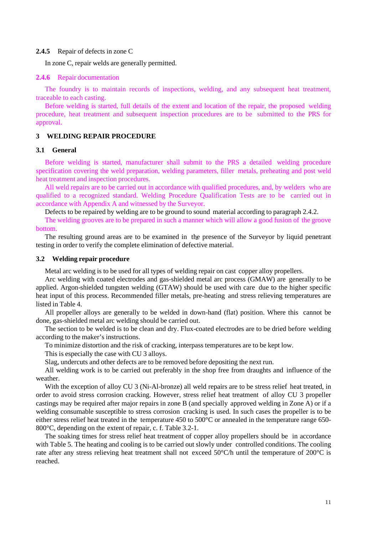#### **2.4.5** Repair of defects in zone C

In zone C, repair welds are generally permitted.

#### **2.4.6** Repair documentation

The foundry is to maintain records of inspections, welding, and any subsequent heat treatment, traceable to each casting.

Before welding is started, full details of the extent and location of the repair, the proposed welding procedure, heat treatment and subsequent inspection procedures are to be submitted to the PRS for approval.

## <span id="page-10-0"></span>**3 WELDING REPAIR PROCEDURE**

## <span id="page-10-1"></span>**3.1 General**

Before welding is started, manufacturer shall submit to the PRS a detailed welding procedure specification covering the weld preparation, welding parameters, filler metals, preheating and post weld heat treatment and inspection procedures.

All weld repairs are to be carried out in accordance with qualified procedures, and, by welders who are qualified to a recognized standard. Welding Procedure Qualification Tests are to be carried out in accordance with Appendix A and witnessed by the Surveyor.

Defects to be repaired by welding are to be ground to sound material according to paragraph 2.4.2.

The welding grooves are to be prepared in such a manner which will allow a good fusion of the groove bottom.

The resulting ground areas are to be examined in the presence of the Surveyor by liquid penetrant testing in order to verify the complete elimination of defective material.

#### <span id="page-10-2"></span>**3.2 Welding repair procedure**

Metal arc welding is to be used for all types of welding repair on cast copper alloy propellers.

Arc welding with coated electrodes and gas-shielded metal arc process (GMAW) are generally to be applied. Argon-shielded tungsten welding (GTAW) should be used with care due to the higher specific heat input of this process. Recommended filler metals, pre-heating and stress relieving temperatures are listed in Table 4.

All propeller alloys are generally to be welded in down-hand (flat) position. Where this cannot be done, gas-shielded metal arc welding should be carried out.

The section to be welded is to be clean and dry. Flux-coated electrodes are to be dried before welding according to the maker's instructions.

To minimize distortion and the risk of cracking, interpass temperatures are to be kept low.

This is especially the case with CU 3 alloys.

Slag, undercuts and other defects are to be removed before depositing the next run.

All welding work is to be carried out preferably in the shop free from draughts and influence of the weather.

With the exception of alloy CU 3 (Ni-Al-bronze) all weld repairs are to be stress relief heat treated, in order to avoid stress corrosion cracking. However, stress relief heat treatment of alloy CU 3 propeller castings may be required after major repairs in zone B (and specially approved welding in Zone A) or if a welding consumable susceptible to stress corrosion cracking is used. In such cases the propeller is to be either stress relief heat treated in the temperature 450 to 500°C or annealed in the temperature range 650- 800°C, depending on the extent of repair, c. f. Table 3.2-1.

The soaking times for stress relief heat treatment of copper alloy propellers should be in accordance with Table 5. The heating and cooling is to be carried out slowly under controlled conditions. The cooling rate after any stress relieving heat treatment shall not exceed 50°C/h until the temperature of 200°C is reached.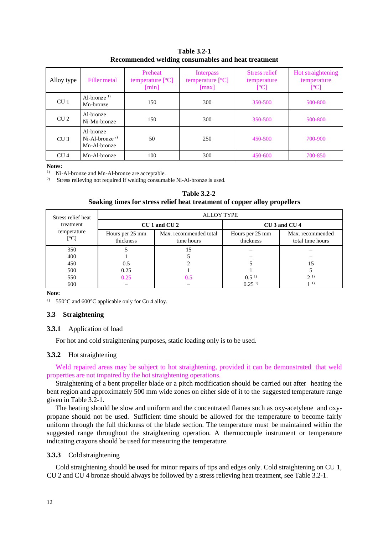| Alloy type      | Filler metal                                      | Preheat<br>temperature [°C]<br>$\lceil \min \rceil$ | Interpass<br>temperature $[°C]$<br>$\lceil max \rceil$ | Stress relief<br>temperature<br>[°C] | Hot straightening<br>temperature<br>[°C] |
|-----------------|---------------------------------------------------|-----------------------------------------------------|--------------------------------------------------------|--------------------------------------|------------------------------------------|
| CU <sub>1</sub> | Al-bronze <sup><math>1)</math></sup><br>Mn-bronze | 150                                                 | 300                                                    | 350-500                              | 500-800                                  |
| CU <sub>2</sub> | Al-bronze<br>Ni-Mn-bronze                         | 150                                                 | 300                                                    | 350-500                              | 500-800                                  |
| CU <sub>3</sub> | Al-bronze<br>$Ni-Al-bronze2$<br>Mn-Al-bronze      | 50                                                  | 250                                                    | 450-500                              | 700-900                                  |
| CU <sub>4</sub> | Mn-Al-bronze                                      | 100                                                 | 300                                                    | 450-600                              | 700-850                                  |

**Table 3.2-1 Recommended welding consumables and heat treatment** 

**Notes:**

1) Ni-Al-bronze and Mn-Al-bronze are acceptable.

<sup>2)</sup> Stress relieving not required if welding consumable Ni-Al-bronze is used.

#### **Table 3.2-2**

#### **Soaking times for stress relief heat treatment of copper alloy propellers**

| Stress relief heat  | <b>ALLOY TYPE</b>            |                                      |                                     |                                      |
|---------------------|------------------------------|--------------------------------------|-------------------------------------|--------------------------------------|
| treatment           | $CU1$ and $CU2$              |                                      | CU <sub>3</sub> and CU <sub>4</sub> |                                      |
| temperature<br>[°C] | Hours per 25 mm<br>thickness | Max. recommended total<br>time hours | Hours per 25 mm<br>thickness        | Max. recommended<br>total time hours |
| 350                 |                              | 15                                   |                                     |                                      |
| 400                 |                              |                                      |                                     |                                      |
| 450                 | 0.5                          |                                      |                                     | 15                                   |
| 500                 | 0.25                         |                                      |                                     |                                      |
| 550                 | 0.25                         | 0.5                                  | 0.5 <sup>1</sup>                    | 2 <sup>1</sup>                       |
| 600                 |                              |                                      | 0.25 <sup>1</sup>                   | 11)                                  |

**Note:** 

<span id="page-11-0"></span><sup>1)</sup> 550°C and 600°C applicable only for Cu 4 alloy.

#### **3.3 Straightening**

#### **3.3.1** Application of load

For hot and cold straightening purposes, static loading only is to be used.

#### **3.3.2** Hot straightening

Weld repaired areas may be subject to hot straightening, provided it can be demonstrated that weld properties are not impaired by the hot straightening operations.

Straightening of a bent propeller blade or a pitch modification should be carried out after heating the bent region and approximately 500 mm wide zones on either side of it to the suggested temperature range given in Table 3.2-1.

The heating should be slow and uniform and the concentrated flames such as oxy-acetylene and oxypropane should not be used. Sufficient time should be allowed for the temperature to become fairly uniform through the full thickness of the blade section. The temperature must be maintained within the suggested range throughout the straightening operation. A thermocouple instrument or temperature indicating crayons should be used for measuring the temperature.

## **3.3.3** Cold straightening

Cold straightening should be used for minor repairs of tips and edges only. Cold straightening on CU 1, CU 2 and CU 4 bronze should always be followed by a stress relieving heat treatment, see Table 3.2-1.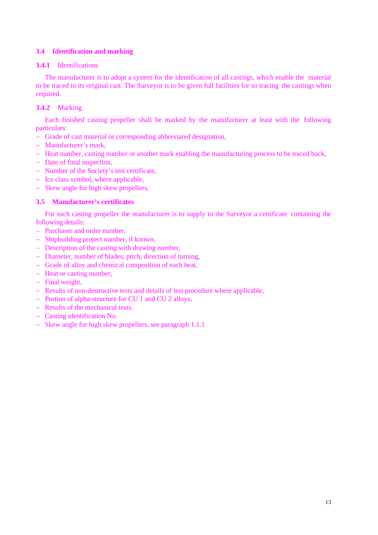## <span id="page-12-0"></span>**3.4 Identification and marking**

## **3.4.1** Identifications

The manufacturer is to adopt a system for the identification of all castings, which enable the material to be traced to its original cast. The Surveyor is to be given full facilities for so tracing the castings when required.

## **3.4.2** Marking

Each finished casting propeller shall be marked by the manufacturer at least with the following particulars:

- − Grade of cast material or corresponding abbreviated designation,
- − Manufacturer's mark,
- − Heat number, casting number or another mark enabling the manufacturing process to be traced back,
- − Date of final inspection,
- − Number of the Society's test certificate,
- − Ice class symbol, where applicable,
- − Skew angle for high skew propellers.

## <span id="page-12-1"></span>**3.5 Manufacturer's certificates**

For each casting propeller the manufacturer is to supply to the Surveyor a certificate containing the following details:

- − Purchaser and order number,
- − Shipbuilding project number, if known,
- − Description of the casting with drawing number,
- − Diameter, number of blades, pitch, direction of turning,
- − Grade of alloy and chemical composition of each heat,
- − Heat or casting number,
- − Final weight,
- − Results of non-destructive tests and details of test procedure where applicable,
- − Portion of alpha-structure for CU 1 and CU 2 alloys,
- − Results of the mechanical tests,
- − Casting identification No.
- − Skew angle for high skew propellers, see paragraph 1.1.1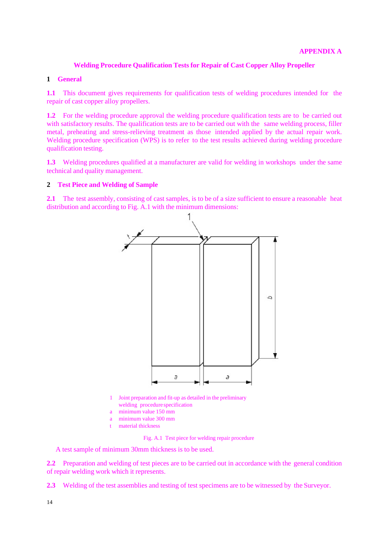## **Welding Procedure Qualification Tests for Repair of Cast Copper Alloy Propeller**

## <span id="page-13-1"></span><span id="page-13-0"></span>**1 General**

**1.1** This document gives requirements for qualification tests of welding procedures intended for the repair of cast copper alloy propellers.

**1.2** For the welding procedure approval the welding procedure qualification tests are to be carried out with satisfactory results. The qualification tests are to be carried out with the same welding process, filler metal, preheating and stress-relieving treatment as those intended applied by the actual repair work. Welding procedure specification (WPS) is to refer to the test results achieved during welding procedure qualification testing.

**1.3** Welding procedures qualified at a manufacturer are valid for welding in workshops under the same technical and quality management.

## <span id="page-13-2"></span>**2 Test Piece and Welding of Sample**

**2.1** The test assembly, consisting of cast samples, is to be of a size sufficient to ensure a reasonable heat distribution and according to Fig. A.1 with the minimum dimensions:



- 1 Joint preparation and fit-up as detailed in the preliminary welding procedure specification
- minimum value 150 mm
- a minimum value 300 mm
- material thickness

Fig. A.1 Test piece for welding repair procedure

A test sample of minimum 30mm thickness is to be used.

2.2 Preparation and welding of test pieces are to be carried out in accordance with the general condition of repair welding work which it represents.

**2.3** Welding of the test assemblies and testing of test specimens are to be witnessed by the Surveyor.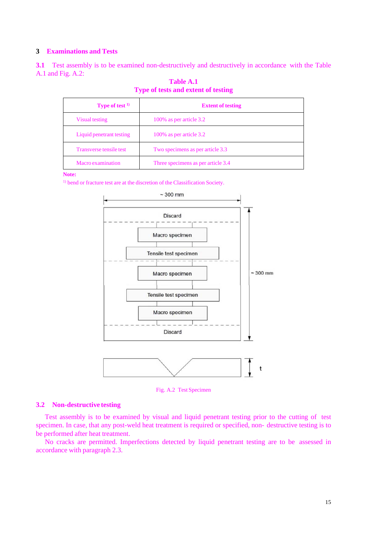## <span id="page-14-0"></span>**3 Examinations and Tests**

**3.1** Test assembly is to be examined non-destructively and destructively in accordance with the Table A.1 and Fig. A.2:

| <b>Type of test</b> $1$  | <b>Extent of testing</b>           |
|--------------------------|------------------------------------|
| Visual testing           | 100% as per article 3.2            |
| Liquid penetrant testing | 100% as per article 3.2            |
| Transverse tensile test  | Two specimens as per article 3.3   |
| Macro examination        | Three specimens as per article 3.4 |

**Table A.1 Type of tests and extent of testing**

#### **Note:**

<sup>1)</sup> bend or fracture test are at the discretion of the Classification Society.



Fig. A.2 Test Specimen

#### **3.2 Non-destructive testing**

Test assembly is to be examined by visual and liquid penetrant testing prior to the cutting of test specimen. In case, that any post-weld heat treatment is required or specified, non- destructive testing is to be performed after heat treatment.

No cracks are permitted. Imperfections detected by liquid penetrant testing are to be assessed in accordance with paragraph 2.3.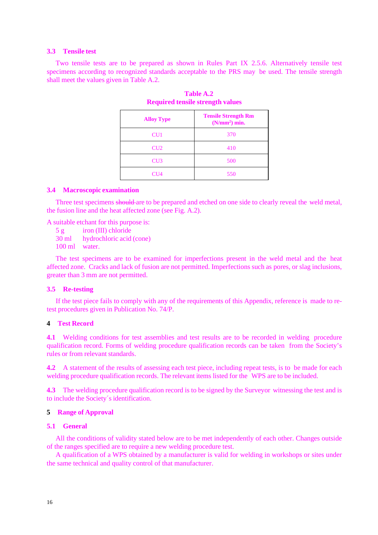#### **3.3 Tensile test**

Two tensile tests are to be prepared as shown in Rules Part IX 2.5.6. Alternatively tensile test specimens according to recognized standards acceptable to the PRS may be used. The tensile strength shall meet the values given in Table A.2.

| <b>Alloy Type</b> | <b>Tensile Strength Rm</b><br>(N/mm <sup>2</sup> ) min. |
|-------------------|---------------------------------------------------------|
| CU <sub>1</sub>   | 370                                                     |
| CU2               | 410                                                     |
| CU <sub>3</sub>   | 500                                                     |
| CU4               | 550                                                     |

**Table A.2 Required tensile strength values**

#### **3.4 Macroscopic examination**

Three test specimens should are to be prepared and etched on one side to clearly reveal the weld metal, the fusion line and the heat affected zone (see Fig. A.2).

A suitable etchant for this purpose is:

- 5 g iron (III) chloride<br>30 ml hydrochloric acid
- hydrochloric acid (cone)

100 ml water.

The test specimens are to be examined for imperfections present in the weld metal and the heat affected zone. Cracks and lack of fusion are not permitted. Imperfections such as pores, or slag inclusions, greater than 3 mm are not permitted.

## **3.5 Re-testing**

If the test piece fails to comply with any of the requirements of this Appendix, reference is made to retest procedures given in Publication No. 74/P.

## <span id="page-15-0"></span>**4 Test Record**

**4.1** Welding conditions for test assemblies and test results are to be recorded in welding procedure qualification record. Forms of welding procedure qualification records can be taken from the Society's rules or from relevant standards.

**4.2** A statement of the results of assessing each test piece, including repeat tests, is to be made for each welding procedure qualification records. The relevant items listed for the WPS are to be included.

**4.3** The welding procedure qualification record is to be signed by the Surveyor witnessing the test and is to include the Society´s identification.

#### <span id="page-15-2"></span><span id="page-15-1"></span>**5 Range of Approval**

#### **5.1 General**

All the conditions of validity stated below are to be met independently of each other. Changes outside of the ranges specified are to require a new welding procedure test.

A qualification of a WPS obtained by a manufacturer is valid for welding in workshops or sites under the same technical and quality control of that manufacturer.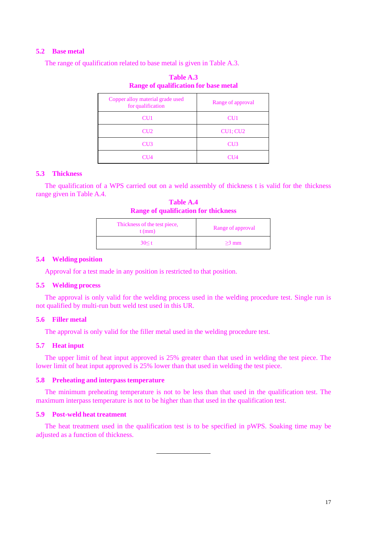## <span id="page-16-0"></span>**5.2 Base metal**

The range of qualification related to base metal is given in Table A.3.

| Copper alloy material grade used<br>for qualification | Range of approval |
|-------------------------------------------------------|-------------------|
| CU <sub>1</sub>                                       | CU <sub>1</sub>   |
| CU <sub>2</sub>                                       | CU1; CU2          |
| CU3                                                   | CU3               |
| CI 14                                                 | CH 14             |

**Table A.3 Range of qualification for base metal**

## <span id="page-16-1"></span>**5.3 Thickness**

The qualification of a WPS carried out on a weld assembly of thickness t is valid for the thickness range given in Table A.4.

**Table A.4 Range of qualification for thickness**

| Thickness of the test piece,<br>$t$ (mm) | Range of approval |
|------------------------------------------|-------------------|
| 30 < t                                   | $>3$ mm           |

#### <span id="page-16-2"></span>**5.4 Welding position**

Approval for a test made in any position is restricted to that position.

#### <span id="page-16-3"></span>**5.5 Welding process**

The approval is only valid for the welding process used in the welding procedure test. Single run is not qualified by multi-run butt weld test used in this UR.

## <span id="page-16-4"></span>**5.6 Filler metal**

The approval is only valid for the filler metal used in the welding procedure test.

## <span id="page-16-5"></span>**5.7 Heat input**

The upper limit of heat input approved is 25% greater than that used in welding the test piece. The lower limit of heat input approved is 25% lower than that used in welding the test piece.

## <span id="page-16-6"></span>**5.8 Preheating and interpass temperature**

The minimum preheating temperature is not to be less than that used in the qualification test. The maximum interpass temperature is not to be higher than that used in the qualification test.

## <span id="page-16-7"></span>**5.9 Post-weld heat treatment**

The heat treatment used in the qualification test is to be specified in pWPS. Soaking time may be adjusted as a function of thickness.